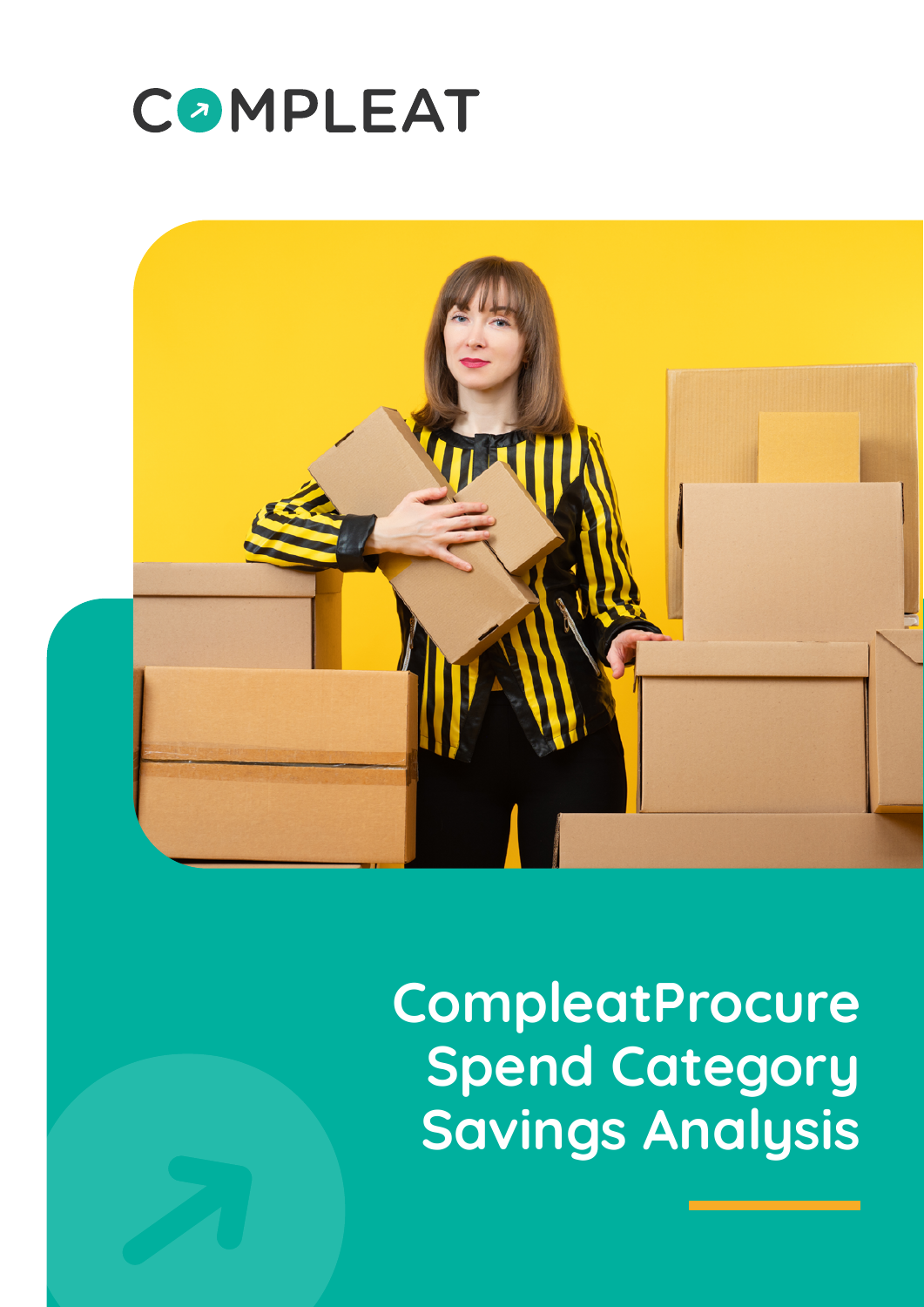



**CompleatProcure Spend Category Savings Analysis**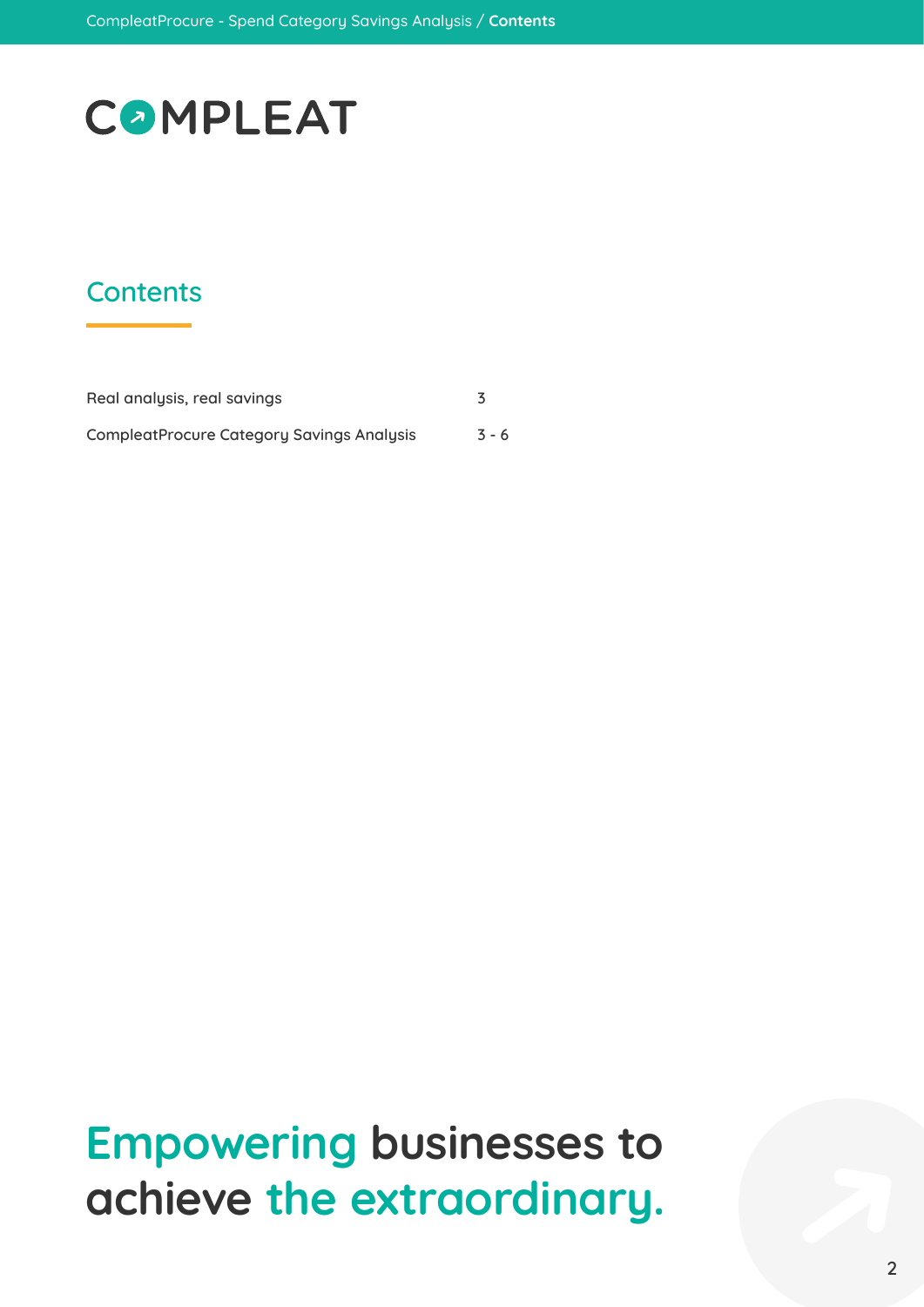#### **Contents**

| Real analysis, real savings                      |         |
|--------------------------------------------------|---------|
| <b>CompleatProcure Category Savings Analysis</b> | $3 - 6$ |

## **Empowering businesses to achieve the extraordinary.**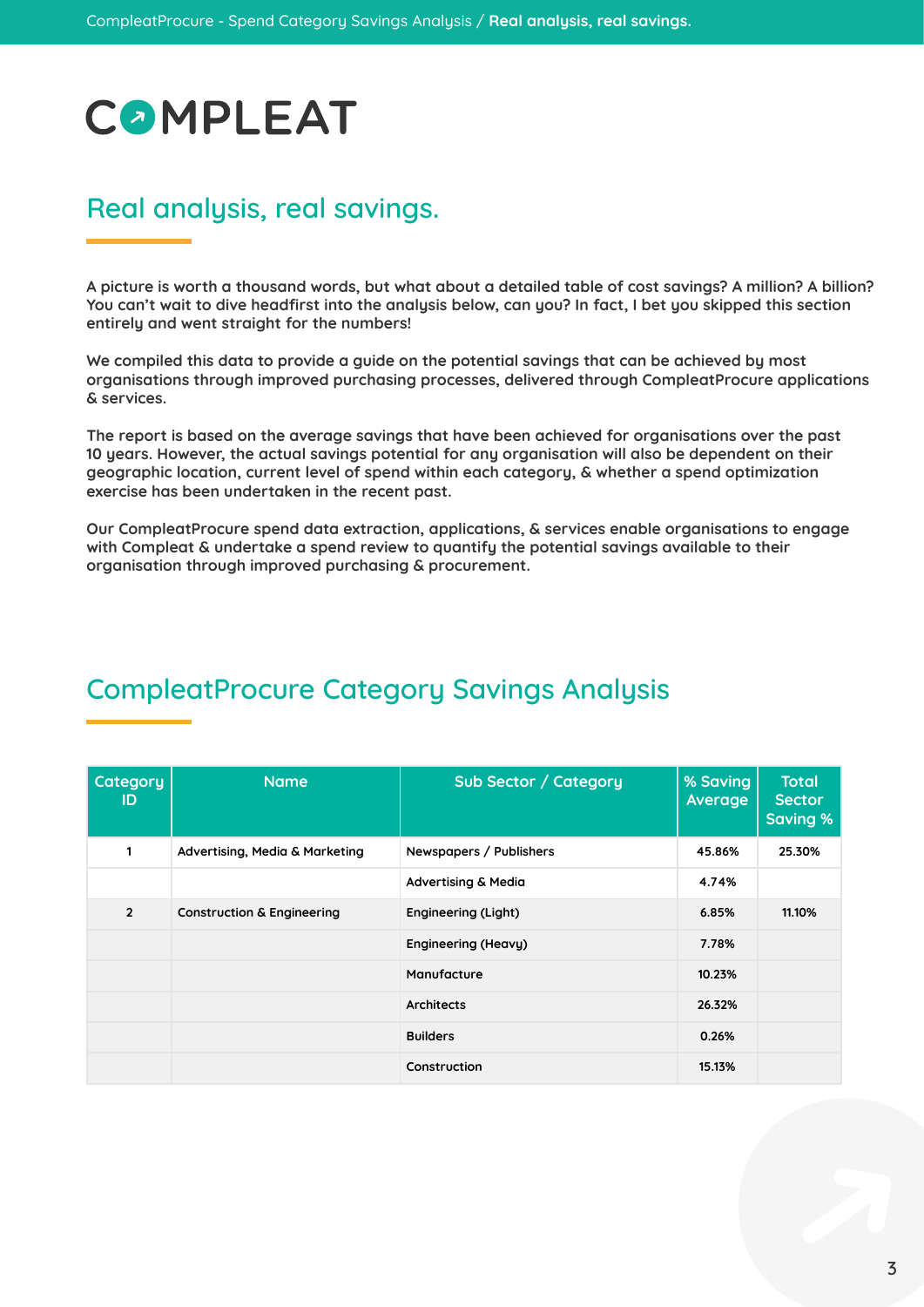#### **Real analysis, real savings.**

**A picture is worth a thousand words, but what about a detailed table of cost savings? A million? A billion? You can't wait to dive headfirst into the analysis below, can you? In fact, I bet you skipped this section entirely and went straight for the numbers!** 

**We compiled this data to provide a guide on the potential savings that can be achieved by most organisations through improved purchasing processes, delivered through CompleatProcure applications & services.** 

**The report is based on the average savings that have been achieved for organisations over the past 10 years. However, the actual savings potential for any organisation will also be dependent on their geographic location, current level of spend within each category, & whether a spend optimization exercise has been undertaken in the recent past.** 

**Our CompleatProcure spend data extraction, applications, & services enable organisations to engage with Compleat & undertake a spend review to quantify the potential savings available to their organisation through improved purchasing & procurement.** 

#### **CompleatProcure Category Savings Analysis**

| Category<br>ID | <b>Name</b>                           | Sub Sector / Category          | % Saving<br>Average | <b>Total</b><br><b>Sector</b><br><b>Saving %</b> |
|----------------|---------------------------------------|--------------------------------|---------------------|--------------------------------------------------|
| 1              | Advertising, Media & Marketing        | Newspapers / Publishers        | 45.86%              | 25.30%                                           |
|                |                                       | <b>Advertising &amp; Media</b> | 4.74%               |                                                  |
| $\overline{2}$ | <b>Construction &amp; Engineering</b> | <b>Engineering (Light)</b>     | 6.85%               | 11.10%                                           |
|                |                                       | Engineering (Heavy)            | 7.78%               |                                                  |
|                |                                       | Manufacture                    | 10.23%              |                                                  |
|                |                                       | <b>Architects</b>              | 26.32%              |                                                  |
|                |                                       | <b>Builders</b>                | 0.26%               |                                                  |
|                |                                       | Construction                   | 15.13%              |                                                  |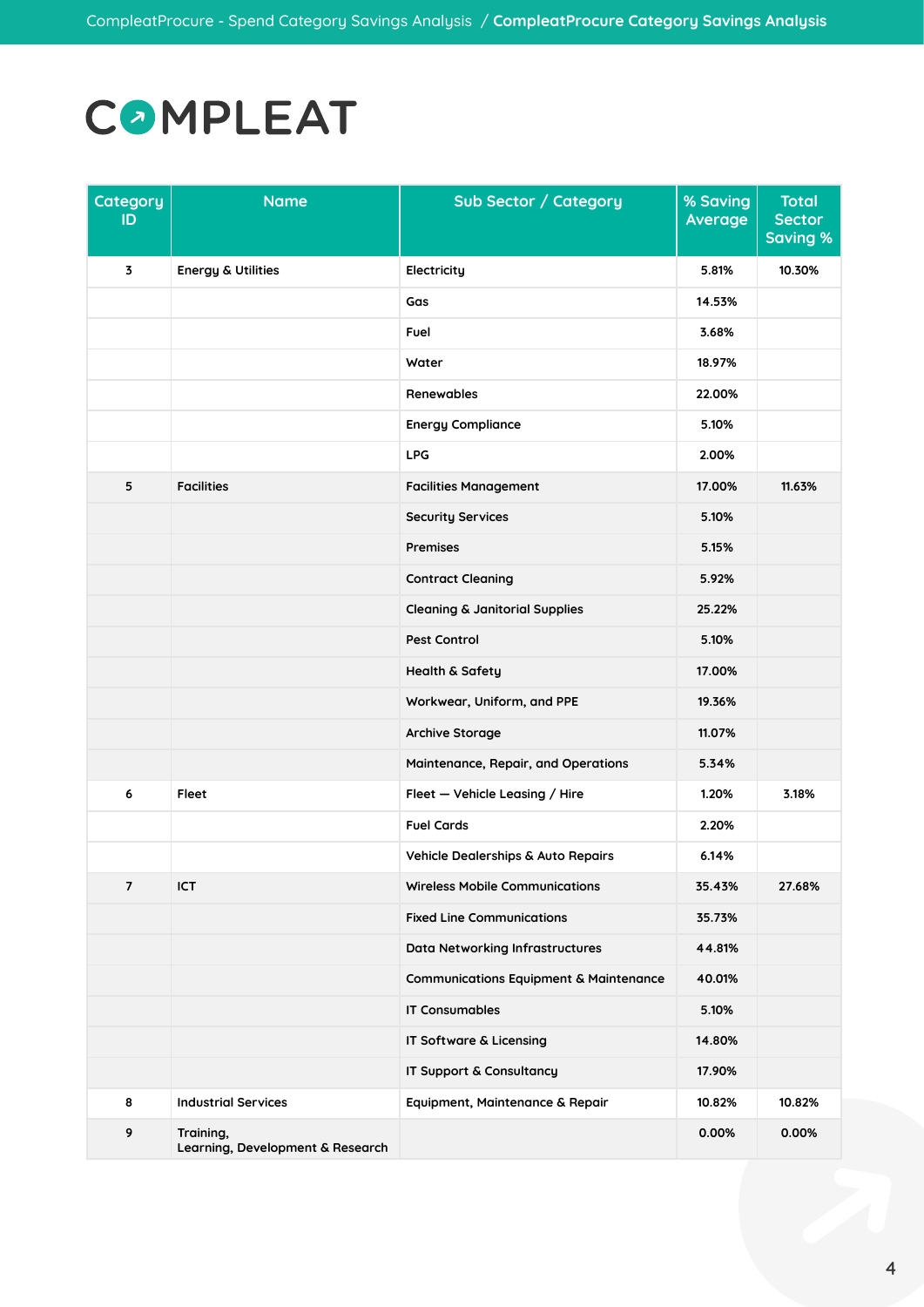| Category<br>ID | <b>Name</b>                                   | Sub Sector / Category                             | % Saving<br>Average | <b>Total</b><br><b>Sector</b><br><b>Saving %</b> |
|----------------|-----------------------------------------------|---------------------------------------------------|---------------------|--------------------------------------------------|
| 3              | <b>Energy &amp; Utilities</b>                 | Electricity                                       | 5.81%               | 10.30%                                           |
|                |                                               | Gas                                               | 14.53%              |                                                  |
|                |                                               | Fuel                                              | 3.68%               |                                                  |
|                |                                               | Water                                             | 18.97%              |                                                  |
|                |                                               | Renewables                                        | 22.00%              |                                                  |
|                |                                               | <b>Energy Compliance</b>                          | 5.10%               |                                                  |
|                |                                               | <b>LPG</b>                                        | 2.00%               |                                                  |
| 5              | <b>Facilities</b>                             | <b>Facilities Management</b>                      | 17.00%              | 11.63%                                           |
|                |                                               | <b>Security Services</b>                          | 5.10%               |                                                  |
|                |                                               | <b>Premises</b>                                   | 5.15%               |                                                  |
|                |                                               | <b>Contract Cleaning</b>                          | 5.92%               |                                                  |
|                |                                               | <b>Cleaning &amp; Janitorial Supplies</b>         | 25.22%              |                                                  |
|                |                                               | <b>Pest Control</b>                               | 5.10%               |                                                  |
|                |                                               | <b>Health &amp; Safety</b>                        | 17.00%              |                                                  |
|                |                                               | Workwear, Uniform, and PPE                        | 19.36%              |                                                  |
|                |                                               | <b>Archive Storage</b>                            | 11.07%              |                                                  |
|                |                                               | Maintenance, Repair, and Operations               | 5.34%               |                                                  |
| 6              | Fleet                                         | Fleet - Vehicle Leasing / Hire                    | 1.20%               | 3.18%                                            |
|                |                                               | <b>Fuel Cards</b>                                 | 2.20%               |                                                  |
|                |                                               | Vehicle Dealerships & Auto Repairs                | 6.14%               |                                                  |
| $\overline{7}$ | ICT                                           | <b>Wireless Mobile Communications</b>             | 35.43%              | 27.68%                                           |
|                |                                               | <b>Fixed Line Communications</b>                  | 35.73%              |                                                  |
|                |                                               | <b>Data Networking Infrastructures</b>            | 44.81%              |                                                  |
|                |                                               | <b>Communications Equipment &amp; Maintenance</b> | 40.01%              |                                                  |
|                |                                               | <b>IT Consumables</b>                             | 5.10%               |                                                  |
|                |                                               | IT Software & Licensing                           | 14.80%              |                                                  |
|                |                                               | IT Support & Consultancy                          | 17.90%              |                                                  |
| 8              | <b>Industrial Services</b>                    | Equipment, Maintenance & Repair                   | 10.82%              | 10.82%                                           |
| 9              | Training,<br>Learning, Development & Research |                                                   | 0.00%               | 0.00%                                            |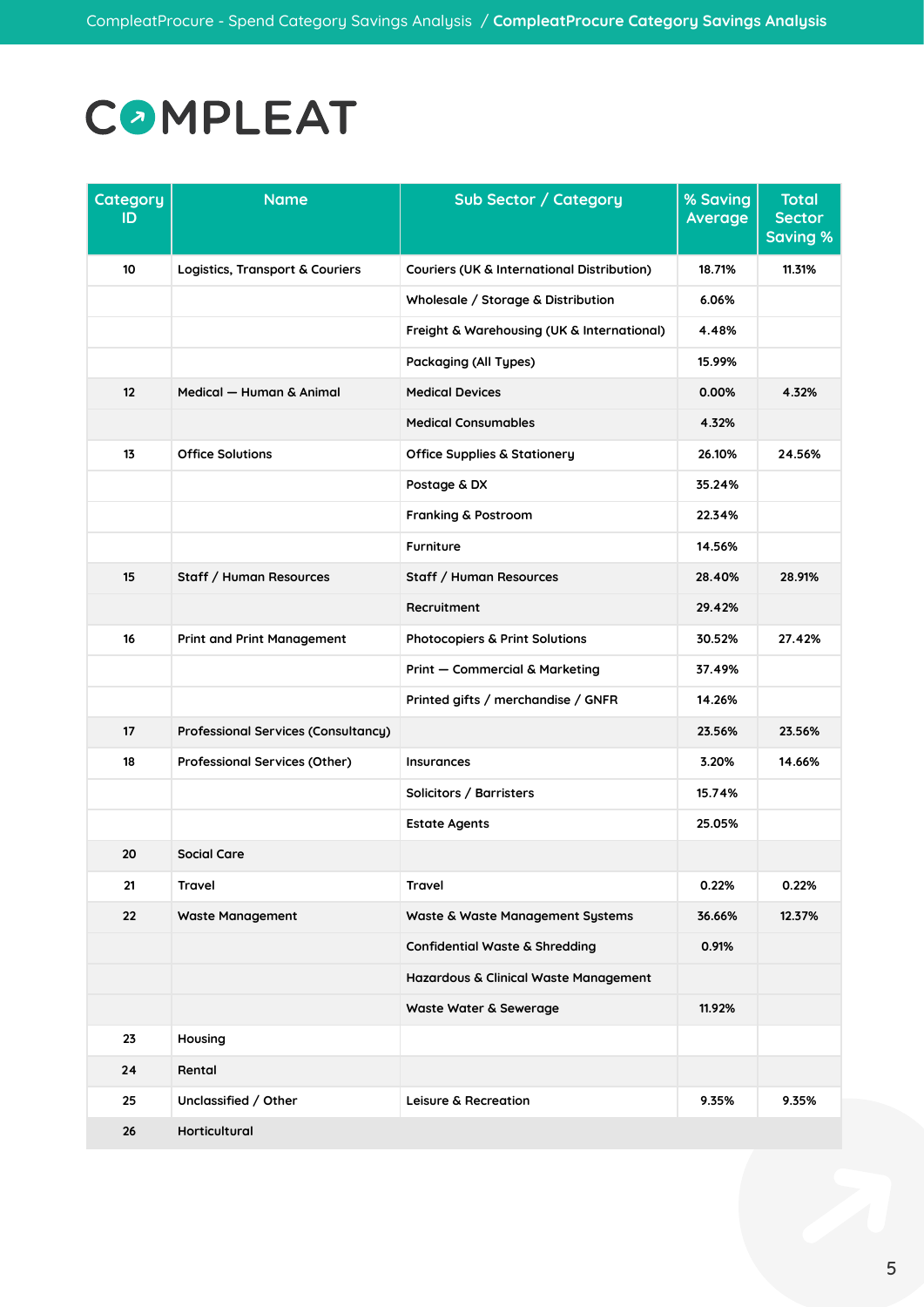| Category<br>ID  | <b>Name</b>                                | Sub Sector / Category                      | % Saving<br>Average | <b>Total</b><br><b>Sector</b><br><b>Saving %</b> |
|-----------------|--------------------------------------------|--------------------------------------------|---------------------|--------------------------------------------------|
| 10              | Logistics, Transport & Couriers            | Couriers (UK & International Distribution) | 18.71%              | 11.31%                                           |
|                 |                                            | Wholesale / Storage & Distribution         | 6.06%               |                                                  |
|                 |                                            | Freight & Warehousing (UK & International) | 4.48%               |                                                  |
|                 |                                            | Packaging (All Types)                      | 15.99%              |                                                  |
| 12 <sup>2</sup> | Medical - Human & Animal                   | <b>Medical Devices</b>                     | 0.00%               | 4.32%                                            |
|                 |                                            | <b>Medical Consumables</b>                 | 4.32%               |                                                  |
| 13              | <b>Office Solutions</b>                    | <b>Office Supplies &amp; Stationery</b>    | 26.10%              | 24.56%                                           |
|                 |                                            | Postage & DX                               | 35.24%              |                                                  |
|                 |                                            | Franking & Postroom                        | 22.34%              |                                                  |
|                 |                                            | Furniture                                  | 14.56%              |                                                  |
| 15              | Staff / Human Resources                    | Staff / Human Resources                    | 28.40%              | 28.91%                                           |
|                 |                                            | Recruitment                                | 29.42%              |                                                  |
| 16              | <b>Print and Print Management</b>          | Photocopiers & Print Solutions             | 30.52%              | 27.42%                                           |
|                 |                                            | Print - Commercial & Marketing             | 37.49%              |                                                  |
|                 |                                            | Printed gifts / merchandise / GNFR         | 14.26%              |                                                  |
| 17              | <b>Professional Services (Consultancy)</b> |                                            | 23.56%              | 23.56%                                           |
| 18              | Professional Services (Other)              | Insurances                                 | 3.20%               | 14.66%                                           |
|                 |                                            | Solicitors / Barristers                    | 15.74%              |                                                  |
|                 |                                            | <b>Estate Agents</b>                       | 25.05%              |                                                  |
| 20              | <b>Social Care</b>                         |                                            |                     |                                                  |
| 21              | Travel                                     | Travel                                     | 0.22%               | 0.22%                                            |
| 22              | <b>Waste Management</b>                    | Waste & Waste Management Systems           | 36.66%              | 12.37%                                           |
|                 |                                            | <b>Confidential Waste &amp; Shredding</b>  | 0.91%               |                                                  |
|                 |                                            | Hazardous & Clinical Waste Management      |                     |                                                  |
|                 |                                            | Waste Water & Sewerage                     | 11.92%              |                                                  |
| 23              | Housing                                    |                                            |                     |                                                  |
| 24              | Rental                                     |                                            |                     |                                                  |
| 25              | Unclassified / Other                       | Leisure & Recreation                       | 9.35%               | 9.35%                                            |
| 26              | Horticultural                              |                                            |                     |                                                  |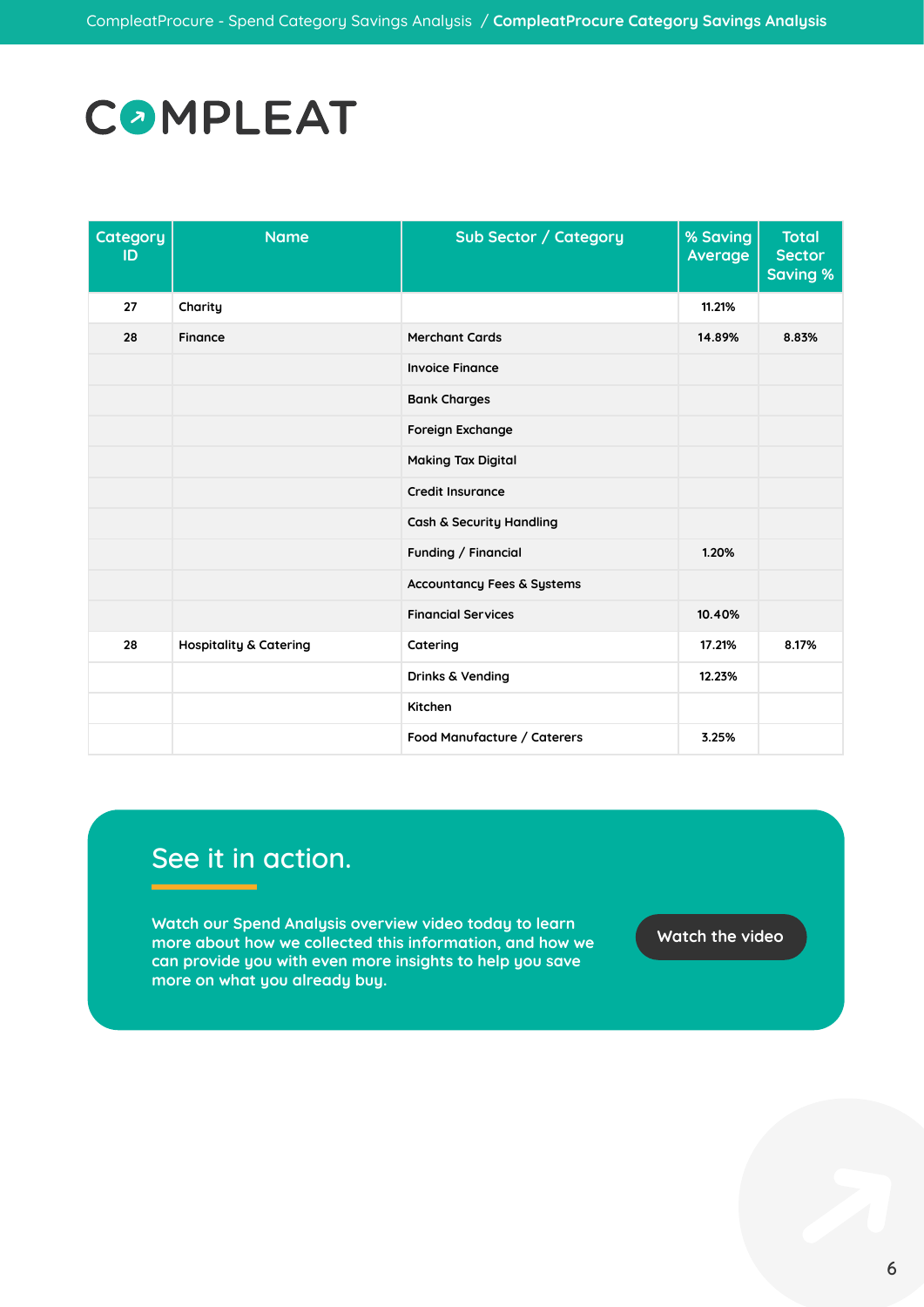| Category<br>ID | <b>Name</b>                       | Sub Sector / Category                 | % Saving<br>Average | <b>Total</b><br><b>Sector</b><br><b>Saving %</b> |
|----------------|-----------------------------------|---------------------------------------|---------------------|--------------------------------------------------|
| 27             | Charity                           |                                       | 11.21%              |                                                  |
| 28             | Finance                           | <b>Merchant Cards</b>                 | 14.89%              | 8.83%                                            |
|                |                                   | <b>Invoice Finance</b>                |                     |                                                  |
|                |                                   | <b>Bank Charges</b>                   |                     |                                                  |
|                |                                   | Foreign Exchange                      |                     |                                                  |
|                |                                   | <b>Making Tax Digital</b>             |                     |                                                  |
|                |                                   | <b>Credit Insurance</b>               |                     |                                                  |
|                |                                   | <b>Cash &amp; Security Handling</b>   |                     |                                                  |
|                |                                   | Funding / Financial                   | 1.20%               |                                                  |
|                |                                   | <b>Accountancy Fees &amp; Systems</b> |                     |                                                  |
|                |                                   | <b>Financial Services</b>             | 10.40%              |                                                  |
| 28             | <b>Hospitality &amp; Catering</b> | Catering                              | 17.21%              | 8.17%                                            |
|                |                                   | Drinks & Vending                      | 12.23%              |                                                  |
|                |                                   | Kitchen                               |                     |                                                  |
|                |                                   | Food Manufacture / Caterers           | 3.25%               |                                                  |

#### **See it in action.**

**Watch our Spend Analysis overview video today to learn more about how we collected this information, and how we can provide you with even more insights to help you save more on what you already buy.**

**Watch the video**